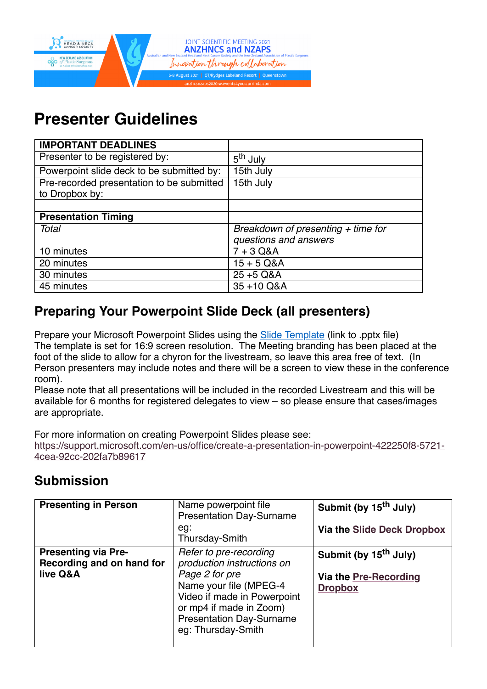

# **Presenter Guidelines**

| <b>IMPORTANT DEADLINES</b>                |                                      |
|-------------------------------------------|--------------------------------------|
| Presenter to be registered by:            | 5 <sup>th</sup> July                 |
| Powerpoint slide deck to be submitted by: | 15th July                            |
| Pre-recorded presentation to be submitted | 15th July                            |
| to Dropbox by:                            |                                      |
|                                           |                                      |
| <b>Presentation Timing</b>                |                                      |
| Total                                     | Breakdown of presenting $+$ time for |
|                                           | questions and answers                |
| 10 minutes                                | $7 + 3$ Q&A                          |
| 20 minutes                                | $15 + 5$ Q&A                         |
| 30 minutes                                | 25 +5 Q&A                            |
| 45 minutes                                | 35+10 Q&A                            |

# **Preparing Your Powerpoint Slide Deck (all presenters)**

Prepare your Microsoft Powerpoint Slides using the **Slide Template** (link to .pptx file) The template is set for 16:9 screen resolution. The Meeting branding has been placed at the foot of the slide to allow for a chyron for the livestream, so leave this area free of text. (In Person presenters may include notes and there will be a screen to view these in the conference room).

Please note that all presentations will be included in the recorded Livestream and this will be available for 6 months for registered delegates to view – so please ensure that cases/images are appropriate.

For more information on creating Powerpoint Slides please see:

[https://support.microsoft.com/en-us/office/create-a-presentation-in-powerpoint-422250f8-5721-](https://support.microsoft.com/en-us/office/create-a-presentation-in-powerpoint-422250f8-5721-4cea-92cc-202fa7b89617) 4cea-92cc-202fa7b89617

# **Submission**

| <b>Presenting in Person</b>                                         | Name powerpoint file<br><b>Presentation Day-Surname</b><br>eg:<br>Thursday-Smith                                                                                                                                    | Submit (by 15 <sup>th</sup> July)<br>Via the Slide Deck Dropbox              |
|---------------------------------------------------------------------|---------------------------------------------------------------------------------------------------------------------------------------------------------------------------------------------------------------------|------------------------------------------------------------------------------|
| <b>Presenting via Pre-</b><br>Recording and on hand for<br>live Q&A | Refer to pre-recording<br>production instructions on<br>Page 2 for pre<br>Name your file (MPEG-4<br>Video if made in Powerpoint<br>or mp4 if made in Zoom)<br><b>Presentation Day-Surname</b><br>eg: Thursday-Smith | Submit (by 15 <sup>th</sup> July)<br>Via the Pre-Recording<br><b>Dropbox</b> |